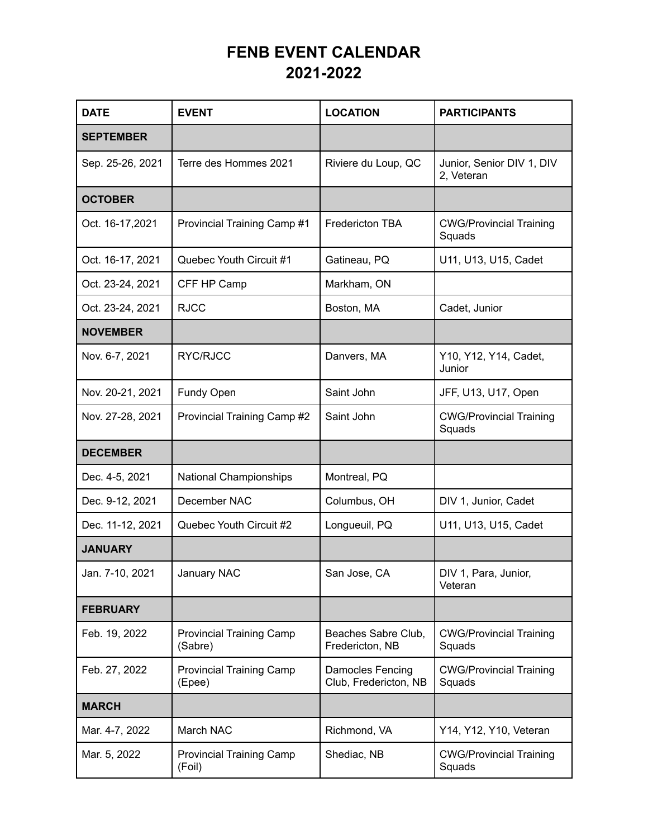## **FENB EVENT CALENDAR 2021-2022**

| <b>DATE</b>      | <b>EVENT</b>                               | <b>LOCATION</b>                           | <b>PARTICIPANTS</b>                      |
|------------------|--------------------------------------------|-------------------------------------------|------------------------------------------|
| <b>SEPTEMBER</b> |                                            |                                           |                                          |
| Sep. 25-26, 2021 | Terre des Hommes 2021                      | Riviere du Loup, QC                       | Junior, Senior DIV 1, DIV<br>2, Veteran  |
| <b>OCTOBER</b>   |                                            |                                           |                                          |
| Oct. 16-17,2021  | Provincial Training Camp #1                | Fredericton TBA                           | <b>CWG/Provincial Training</b><br>Squads |
| Oct. 16-17, 2021 | Quebec Youth Circuit #1                    | Gatineau, PQ                              | U11, U13, U15, Cadet                     |
| Oct. 23-24, 2021 | CFF HP Camp                                | Markham, ON                               |                                          |
| Oct. 23-24, 2021 | <b>RJCC</b>                                | Boston, MA                                | Cadet, Junior                            |
| <b>NOVEMBER</b>  |                                            |                                           |                                          |
| Nov. 6-7, 2021   | RYC/RJCC                                   | Danvers, MA                               | Y10, Y12, Y14, Cadet,<br>Junior          |
| Nov. 20-21, 2021 | Fundy Open                                 | Saint John                                | JFF, U13, U17, Open                      |
| Nov. 27-28, 2021 | Provincial Training Camp #2                | Saint John                                | <b>CWG/Provincial Training</b><br>Squads |
| <b>DECEMBER</b>  |                                            |                                           |                                          |
| Dec. 4-5, 2021   | <b>National Championships</b>              | Montreal, PQ                              |                                          |
| Dec. 9-12, 2021  | December NAC                               | Columbus, OH                              | DIV 1, Junior, Cadet                     |
| Dec. 11-12, 2021 | Quebec Youth Circuit #2                    | Longueuil, PQ                             | U11, U13, U15, Cadet                     |
| <b>JANUARY</b>   |                                            |                                           |                                          |
| Jan. 7-10, 2021  | January NAC                                | San Jose, CA                              | DIV 1, Para, Junior,<br>Veteran          |
| <b>FEBRUARY</b>  |                                            |                                           |                                          |
| Feb. 19, 2022    | <b>Provincial Training Camp</b><br>(Sabre) | Beaches Sabre Club,<br>Fredericton, NB    | <b>CWG/Provincial Training</b><br>Squads |
| Feb. 27, 2022    | <b>Provincial Training Camp</b><br>(Epee)  | Damocles Fencing<br>Club, Fredericton, NB | <b>CWG/Provincial Training</b><br>Squads |
| <b>MARCH</b>     |                                            |                                           |                                          |
| Mar. 4-7, 2022   | March NAC                                  | Richmond, VA                              | Y14, Y12, Y10, Veteran                   |
| Mar. 5, 2022     | <b>Provincial Training Camp</b><br>(Foil)  | Shediac, NB                               | <b>CWG/Provincial Training</b><br>Squads |